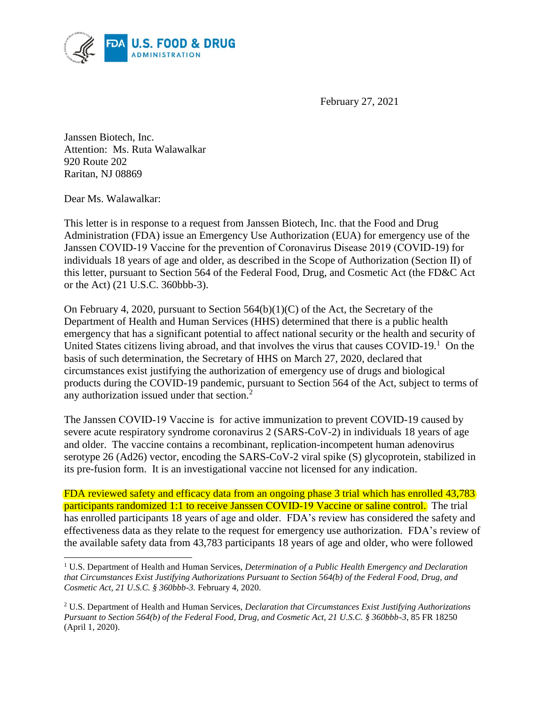

February 27, 2021

Janssen Biotech, Inc. Attention: Ms. Ruta Walawalkar 920 Route 202 Raritan, NJ 08869

Dear Ms. Walawalkar:

 $\overline{\phantom{a}}$ 

This letter is in response to a request from Janssen Biotech, Inc. that the Food and Drug Administration (FDA) issue an Emergency Use Authorization (EUA) for emergency use of the Janssen COVID‑19 Vaccine for the prevention of Coronavirus Disease 2019 (COVID-19) for individuals 18 years of age and older, as described in the Scope of Authorization (Section II) of this letter, pursuant to Section 564 of the Federal Food, Drug, and Cosmetic Act (the FD&C Act or the Act) (21 U.S.C. 360bbb-3).

United States citizens living abroad, and that involves the virus that causes COVID-19.<sup>1</sup> On the On February 4, 2020, pursuant to Section  $564(b)(1)(C)$  of the Act, the Secretary of the Department of Health and Human Services (HHS) determined that there is a public health emergency that has a significant potential to affect national security or the health and security of basis of such determination, the Secretary of HHS on March 27, 2020, declared that circumstances exist justifying the authorization of emergency use of drugs and biological products during the COVID-19 pandemic, pursuant to Section 564 of the Act, subject to terms of any authorization issued under that section.<sup>2</sup>

 severe acute respiratory syndrome coronavirus 2 (SARS-CoV-2) in individuals 18 years of age The Janssen COVID-19 Vaccine is for active immunization to prevent COVID-19 caused by and older. The vaccine contains a recombinant, replication-incompetent human adenovirus serotype 26 (Ad26) vector, encoding the SARS-CoV-2 viral spike (S) glycoprotein, stabilized in its pre-fusion form. It is an investigational vaccine not licensed for any indication.

 FDA reviewed safety and efficacy data from an ongoing phase 3 trial which has enrolled 43,783 effectiveness data as they relate to the request for emergency use authorization. FDA's review of participants randomized 1:1 to receive Janssen COVID-19 Vaccine or saline control. The trial has enrolled participants 18 years of age and older. FDA's review has considered the safety and the available safety data from 43,783 participants 18 years of age and older, who were followed

 1 U.S. Department of Health and Human Services, *Determination of a Public Health Emergency and Declaration that Circumstances Exist Justifying Authorizations Pursuant to Section 564(b) of the Federal Food, Drug, and Cosmetic Act, 21 U.S.C. § 360bbb-3.* February 4, 2020.

 2 U.S. Department of Health and Human Services, *Declaration that Circumstances Exist Justifying Authorizations Pursuant to Section 564(b) of the Federal Food, Drug, and Cosmetic Act, 21 U.S.C. § 360bbb-3*, 85 FR 18250 (April 1, 2020).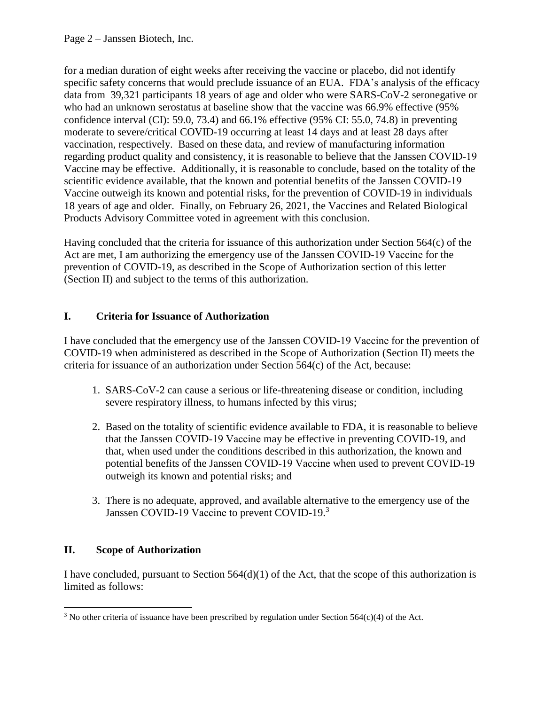specific safety concerns that would preclude issuance of an EUA. FDA's analysis of the efficacy data from 39,321 participants 18 years of age and older who were SARS-CoV-2 seronegative or for a median duration of eight weeks after receiving the vaccine or placebo, did not identify who had an unknown serostatus at baseline show that the vaccine was 66.9% effective (95% confidence interval (CI): 59.0, 73.4) and 66.1% effective (95% CI: 55.0, 74.8) in preventing moderate to severe/critical COVID-19 occurring at least 14 days and at least 28 days after vaccination, respectively. Based on these data, and review of manufacturing information regarding product quality and consistency, it is reasonable to believe that the Janssen COVID-19 Vaccine may be effective. Additionally, it is reasonable to conclude, based on the totality of the scientific evidence available, that the known and potential benefits of the Janssen COVID-19 Vaccine outweigh its known and potential risks, for the prevention of COVID-19 in individuals 18 years of age and older. Finally, on February 26, 2021, the Vaccines and Related Biological Products Advisory Committee voted in agreement with this conclusion.

Having concluded that the criteria for issuance of this authorization under Section 564(c) of the Act are met, I am authorizing the emergency use of the Janssen COVID-19 Vaccine for the prevention of COVID-19, as described in the Scope of Authorization section of this letter (Section II) and subject to the terms of this authorization.

# **I. Criteria for Issuance of Authorization**

I have concluded that the emergency use of the Janssen COVID‑19 Vaccine for the prevention of COVID-19 when administered as described in the Scope of Authorization (Section II) meets the criteria for issuance of an authorization under Section 564(c) of the Act, because:

- 1. SARS-CoV-2 can cause a serious or life-threatening disease or condition, including severe respiratory illness, to humans infected by this virus;
- 2. Based on the totality of scientific evidence available to FDA, it is reasonable to believe that the Janssen COVID‑19 Vaccine may be effective in preventing COVID-19, and that, when used under the conditions described in this authorization, the known and potential benefits of the Janssen COVID‑19 Vaccine when used to prevent COVID-19 outweigh its known and potential risks; and
- 3. There is no adequate, approved, and available alternative to the emergency use of the Janssen COVID-19 Vaccine to prevent COVID-19.<sup>3</sup>

#### **Scope of Authorization**

I have concluded, pursuant to Section  $564(d)(1)$  of the Act, that the scope of this authorization is limited as follows:

 $\overline{a}$ <sup>3</sup> No other criteria of issuance have been prescribed by regulation under Section 564(c)(4) of the Act.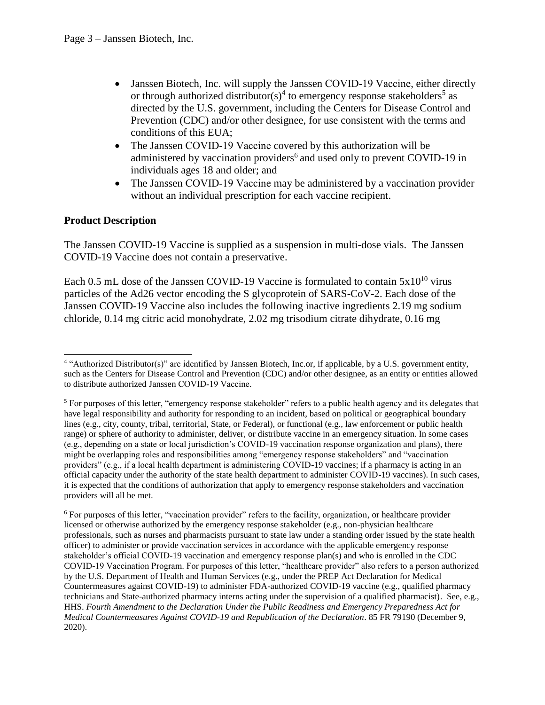- Janssen Biotech, Inc. will supply the Janssen COVID-19 Vaccine, either directly or through authorized distributor(s)<sup>4</sup> to emergency response stakeholders<sup>5</sup> as directed by the U.S. government, including the Centers for Disease Control and Prevention (CDC) and/or other designee, for use consistent with the terms and conditions of this EUA;
- The Janssen COVID-19 Vaccine covered by this authorization will be administered by vaccination providers<sup>6</sup> and used only to prevent COVID-19 in individuals ages 18 and older; and
- The Janssen COVID-19 Vaccine may be administered by a vaccination provider without an individual prescription for each vaccine recipient.

# **Product Description**

 The Janssen COVID-19 Vaccine is supplied as a suspension in multi-dose vials. The Janssen COVID-19 Vaccine does not contain a preservative.

Each 0.5 mL dose of the Janssen COVID-19 Vaccine is formulated to contain  $5x10^{10}$  virus particles of the Ad26 vector encoding the S glycoprotein of SARS-CoV-2. Each dose of the Janssen COVID-19 Vaccine also includes the following inactive ingredients 2.19 mg sodium chloride, 0.14 mg citric acid monohydrate, 2.02 mg trisodium citrate dihydrate, 0.16 mg

l 4 "Authorized Distributor(s)" are identified by Janssen Biotech, Inc.or, if applicable, by a U.S. government entity, such as the Centers for Disease Control and Prevention (CDC) and/or other designee, as an entity or entities allowed to distribute authorized Janssen COVID‑19 Vaccine.

 $5$  For purposes of this letter, "emergency response stakeholder" refers to a public health agency and its delegates that have legal responsibility and authority for responding to an incident, based on political or geographical boundary lines (e.g., city, county, tribal, territorial, State, or Federal), or functional (e.g., law enforcement or public health range) or sphere of authority to administer, deliver, or distribute vaccine in an emergency situation. In some cases (e.g., depending on a state or local jurisdiction's COVID-19 vaccination response organization and plans), there might be overlapping roles and responsibilities among "emergency response stakeholders" and "vaccination providers" (e.g., if a local health department is administering COVID-19 vaccines; if a pharmacy is acting in an official capacity under the authority of the state health department to administer COVID-19 vaccines). In such cases, it is expected that the conditions of authorization that apply to emergency response stakeholders and vaccination providers will all be met.

 $6$  For purposes of this letter, "vaccination provider" refers to the facility, organization, or healthcare provider licensed or otherwise authorized by the emergency response stakeholder (e.g., non-physician healthcare professionals, such as nurses and pharmacists pursuant to state law under a standing order issued by the state health officer) to administer or provide vaccination services in accordance with the applicable emergency response stakeholder's official COVID-19 vaccination and emergency response plan(s) and who is enrolled in the CDC COVID-19 Vaccination Program. For purposes of this letter, "healthcare provider" also refers to a person authorized by the U.S. Department of Health and Human Services (e.g., under the PREP Act Declaration for Medical Countermeasures against COVID-19) to administer FDA-authorized COVID-19 vaccine (e.g., qualified pharmacy technicians and State-authorized pharmacy interns acting under the supervision of a qualified pharmacist). See, e.g.,  HHS. *Fourth Amendment to the Declaration Under the Public Readiness and Emergency Preparedness Act for Medical Countermeasures Against COVID-19 and Republication of the Declaration*. 85 FR 79190 (December 9, 2020).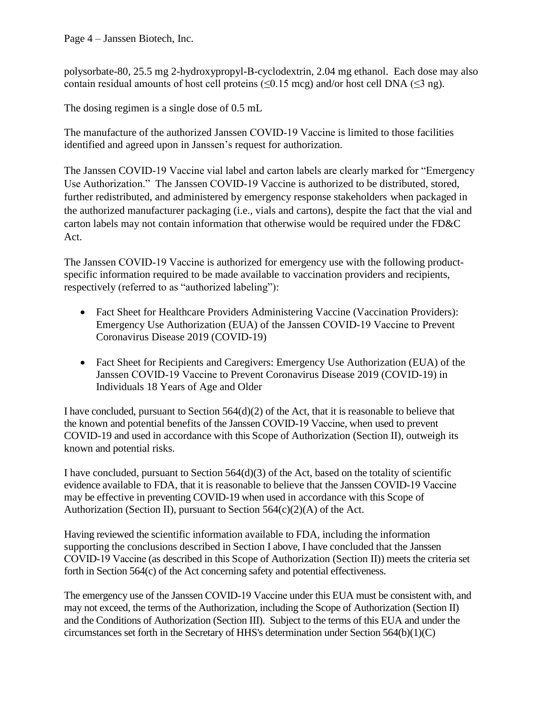Page 4 – Janssen Biotech, Inc.

polysorbate-80, 25.5 mg 2-hydroxypropyl-B-cyclodextrin, 2.04 mg ethanol. Each dose may also contain residual amounts of host cell proteins ( $\leq 0.15$  mcg) and/or host cell DNA ( $\leq 3$  ng).

The dosing regimen is a single dose of 0.5 mL

The manufacture of the authorized Janssen COVID-19 Vaccine is limited to those facilities identified and agreed upon in Janssen's request for authorization.

 The Janssen COVID-19 Vaccine vial label and carton labels are clearly marked for "Emergency Use Authorization." The Janssen COVID-19 Vaccine is authorized to be distributed, stored, further redistributed, and administered by emergency response stakeholders when packaged in the authorized manufacturer packaging (i.e., vials and cartons), despite the fact that the vial and carton labels may not contain information that otherwise would be required under the FD&C Act.

The Janssen COVID-19 Vaccine is authorized for emergency use with the following productspecific information required to be made available to vaccination providers and recipients, respectively (referred to as "authorized labeling"):

- Fact Sheet for Healthcare Providers Administering Vaccine (Vaccination Providers): Emergency Use Authorization (EUA) of the Janssen COVID-19 Vaccine to Prevent Coronavirus Disease 2019 (COVID-19)
- Fact Sheet for Recipients and Caregivers: Emergency Use Authorization (EUA) of the Janssen COVID‑19 Vaccine to Prevent Coronavirus Disease 2019 (COVID-19) in Individuals 18 Years of Age and Older

 I have concluded, pursuant to Section 564(d)(2) of the Act, that it is reasonable to believe that the known and potential benefits of the Janssen COVID-19 Vaccine, when used to prevent COVID-19 and used in accordance with this Scope of Authorization (Section II), outweigh its known and potential risks.

 may be effective in preventing COVID-19 when used in accordance with this Scope of I have concluded, pursuant to Section 564(d)(3) of the Act, based on the totality of scientific evidence available to FDA, that it is reasonable to believe that the Janssen COVID-19 Vaccine Authorization (Section II), pursuant to Section  $564(c)(2)(A)$  of the Act.

 COVID‑19 Vaccine (as described in this Scope of Authorization (Section II)) meets the criteria set forth in Section 564(c) of the Act concerning safety and potential effectiveness. Having reviewed the scientific information available to FDA, including the information supporting the conclusions described in Section I above, I have concluded that the Janssen

The emergency use of the Janssen COVID-19 Vaccine under this EUA must be consistent with, and may not exceed, the terms of the Authorization, including the Scope of Authorization (Section II) and the Conditions of Authorization (Section III). Subject to the terms of this EUA and under the circumstances set forth in the Secretary of HHS's determination under Section 564(b)(1)(C)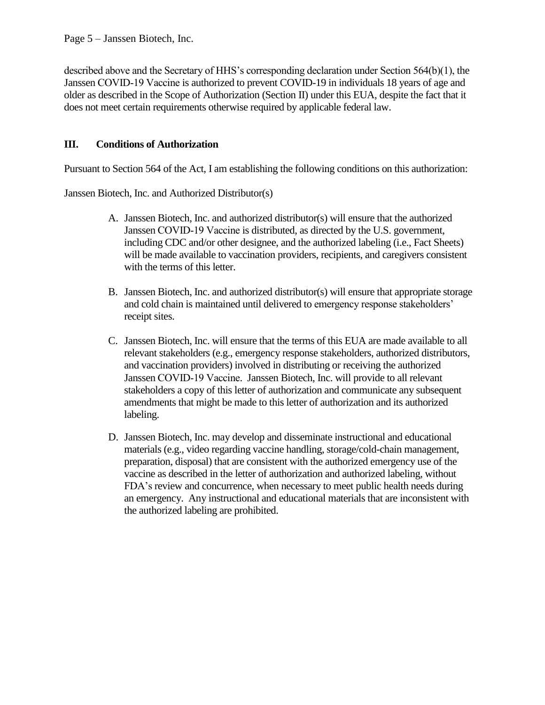described above and the Secretary of HHS's corresponding declaration under Section 564(b)(1), the Janssen COVID-19 Vaccine is authorized to prevent COVID-19 in individuals 18 years of age and older as described in the Scope of Authorization (Section II) under this EUA, despite the fact that it does not meet certain requirements otherwise required by applicable federal law.

# **III. Conditions of Authorization**

Pursuant to Section 564 of the Act, I am establishing the following conditions on this authorization:

Janssen Biotech, Inc. and Authorized Distributor(s)

- A. Janssen Biotech, Inc. and authorized distributor(s) will ensure that the authorized Janssen COVID-19 Vaccine is distributed, as directed by the U.S. government, including CDC and/or other designee, and the authorized labeling (i.e., Fact Sheets) will be made available to vaccination providers, recipients, and caregivers consistent with the terms of this letter.
- B. Janssen Biotech, Inc. and authorized distributor(s) will ensure that appropriate storage and cold chain is maintained until delivered to emergency response stakeholders' receipt sites.
- C. Janssen Biotech, Inc. will ensure that the terms of this EUA are made available to all relevant stakeholders (e.g., emergency response stakeholders, authorized distributors, and vaccination providers) involved in distributing or receiving the authorized Janssen COVID‑19 Vaccine. Janssen Biotech, Inc. will provide to all relevant stakeholders a copy of this letter of authorization and communicate any subsequent amendments that might be made to this letter of authorization and its authorized labeling.
- D. Janssen Biotech, Inc. may develop and disseminate instructional and educational materials (e.g., video regarding vaccine handling, storage/cold-chain management, preparation, disposal) that are consistent with the authorized emergency use of the vaccine as described in the letter of authorization and authorized labeling, without FDA's review and concurrence, when necessary to meet public health needs during an emergency. Any instructional and educational materials that are inconsistent with the authorized labeling are prohibited.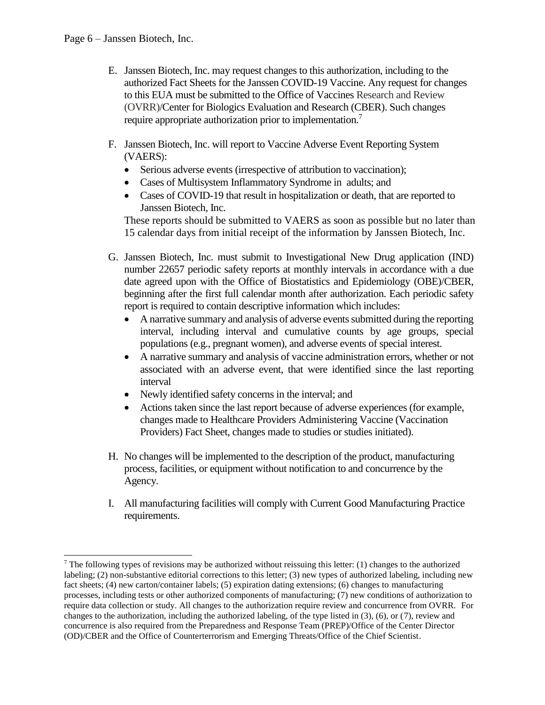$\overline{\phantom{a}}$ 

- E. Janssen Biotech, Inc. may request changes to this authorization, including to the authorized Fact Sheets for the Janssen COVID-19 Vaccine. Any request for changes to this EUA must be submitted to the Office of Vaccines Research and Review (OVRR)/Center for Biologics Evaluation and Research (CBER). Such changes require appropriate authorization prior to implementation.<sup>7</sup>
- F. Janssen Biotech, Inc. will report to Vaccine Adverse Event Reporting System (VAERS):
	- Serious adverse events (irrespective of attribution to vaccination);
	- Cases of Multisystem Inflammatory Syndrome in adults; and
	- Cases of COVID-19 that result in hospitalization or death, that are reported to Janssen Biotech, Inc.

These reports should be submitted to VAERS as soon as possible but no later than 15 calendar days from initial receipt of the information by Janssen Biotech, Inc.

- G. Janssen Biotech, Inc. must submit to Investigational New Drug application (IND) number 22657 periodic safety reports at monthly intervals in accordance with a due date agreed upon with the Office of Biostatistics and Epidemiology (OBE)/CBER, beginning after the first full calendar month after authorization. Each periodic safety report is required to contain descriptive information which includes:
	- • A narrative summary and analysis of adverse events submitted during the reporting interval, including interval and cumulative counts by age groups, special populations (e.g., pregnant women), and adverse events of special interest.
	- • A narrative summary and analysis of vaccine administration errors, whether or not associated with an adverse event, that were identified since the last reporting interval
	- Newly identified safety concerns in the interval; and
	- • Actions taken since the last report because of adverse experiences (for example, changes made to Healthcare Providers Administering Vaccine (Vaccination Providers) Fact Sheet, changes made to studies or studies initiated).
- H. No changes will be implemented to the description of the product, manufacturing process, facilities, or equipment without notification to and concurrence by the Agency.
- I. All manufacturing facilities will comply with Current Good Manufacturing Practice requirements.

 $7$  The following types of revisions may be authorized without reissuing this letter: (1) changes to the authorized labeling; (2) non-substantive editorial corrections to this letter; (3) new types of authorized labeling, including new fact sheets; (4) new carton/container labels; (5) expiration dating extensions; (6) changes to manufacturing processes, including tests or other authorized components of manufacturing; (7) new conditions of authorization to require data collection or study. All changes to the authorization require review and concurrence from OVRR. For changes to the authorization, including the authorized labeling, of the type listed in (3), (6), or (7), review and concurrence is also required from the Preparedness and Response Team (PREP)/Office of the Center Director (OD)/CBER and the Office of Counterterrorism and Emerging Threats/Office of the Chief Scientist.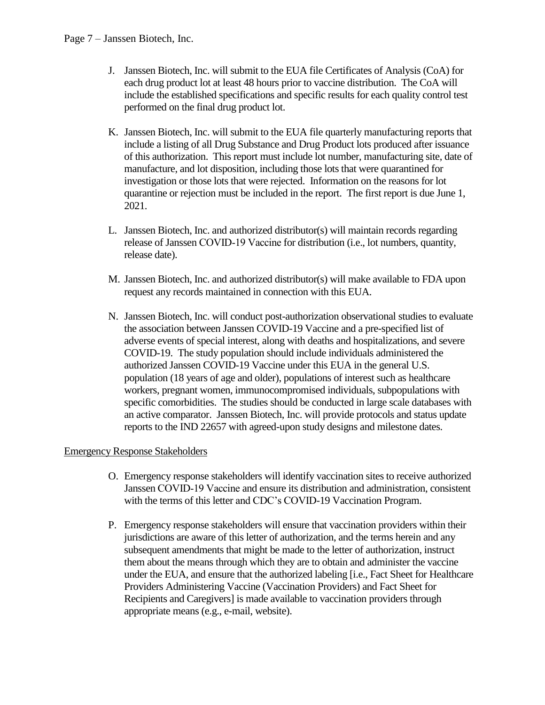- J. Janssen Biotech, Inc. will submit to the EUA file Certificates of Analysis (CoA) for each drug product lot at least 48 hours prior to vaccine distribution. The CoA will include the established specifications and specific results for each quality control test performed on the final drug product lot.
- K. Janssen Biotech, Inc. will submit to the EUA file quarterly manufacturing reports that include a listing of all Drug Substance and Drug Product lots produced after issuance of this authorization. This report must include lot number, manufacturing site, date of manufacture, and lot disposition, including those lots that were quarantined for investigation or those lots that were rejected. Information on the reasons for lot quarantine or rejection must be included in the report. The first report is due June 1, 2021.
- L. Janssen Biotech, Inc. and authorized distributor(s) will maintain records regarding release of Janssen COVID-19 Vaccine for distribution (i.e., lot numbers, quantity, release date).
- M. Janssen Biotech, Inc. and authorized distributor(s) will make available to FDA upon request any records maintained in connection with this EUA.
- N. Janssen Biotech, Inc. will conduct post-authorization observational studies to evaluate the association between Janssen COVID-19 Vaccine and a pre-specified list of adverse events of special interest, along with deaths and hospitalizations, and severe COVID-19. The study population should include individuals administered the authorized Janssen COVID-19 Vaccine under this EUA in the general U.S. population (18 years of age and older), populations of interest such as healthcare workers, pregnant women, immunocompromised individuals, subpopulations with specific comorbidities. The studies should be conducted in large scale databases with an active comparator. Janssen Biotech, Inc. will provide protocols and status update reports to the IND 22657 with agreed-upon study designs and milestone dates.

### Emergency Response Stakeholders

- O. Emergency response stakeholders will identify vaccination sites to receive authorized with the terms of this letter and CDC's COVID-19 Vaccination Program. Janssen COVID‑19 Vaccine and ensure its distribution and administration, consistent
- P. Emergency response stakeholders will ensure that vaccination providers within their jurisdictions are aware of this letter of authorization, and the terms herein and any subsequent amendments that might be made to the letter of authorization, instruct them about the means through which they are to obtain and administer the vaccine under the EUA, and ensure that the authorized labeling [i.e., Fact Sheet for Healthcare Providers Administering Vaccine (Vaccination Providers) and Fact Sheet for Recipients and Caregivers] is made available to vaccination providers through appropriate means (e.g., e-mail, website).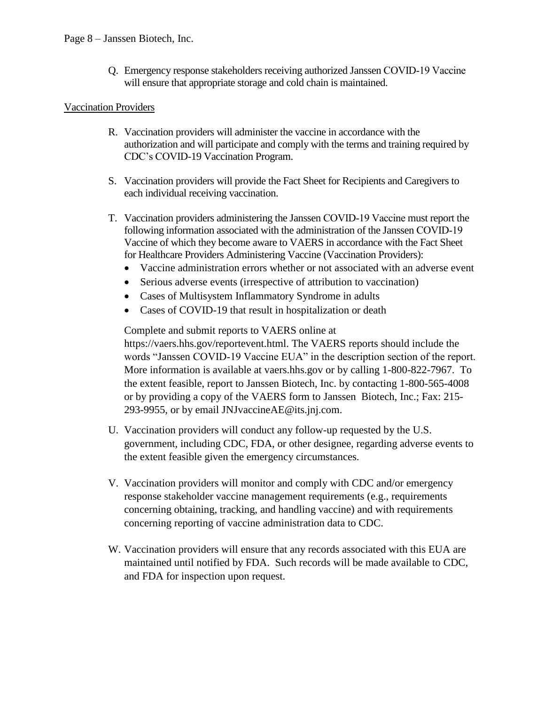Q. Emergency response stakeholders receiving authorized Janssen COVID‑19 Vaccine will ensure that appropriate storage and cold chain is maintained.

### Vaccination Providers

- R. Vaccination providers will administer the vaccine in accordance with the authorization and will participate and comply with the terms and training required by CDC's COVID-19 Vaccination Program.
- S. Vaccination providers will provide the Fact Sheet for Recipients and Caregivers to each individual receiving vaccination.
- T. Vaccination providers administering the Janssen COVID‑19 Vaccine must report the following information associated with the administration of the Janssen COVID-19 Vaccine of which they become aware to VAERS in accordance with the Fact Sheet for Healthcare Providers Administering Vaccine (Vaccination Providers):
	- Vaccine administration errors whether or not associated with an adverse event
	- Serious adverse events (irrespective of attribution to vaccination)
	- Cases of Multisystem Inflammatory Syndrome in adults
	- Cases of COVID-19 that result in hospitalization or death

Complete and submit reports to VAERS online at [https://vaers.hhs.gov/reportevent.html.](https://vaers.hhs.gov/reportevent.html) The VAERS reports should include the words "Janssen COVID-19 Vaccine EUA" in the description section of the report. More information is available at [vaers.hhs.gov](https://vaers.hhs.gov) or by calling 1-800-822-7967. To the extent feasible, report to Janssen Biotech, Inc. by contacting 1-800-565-4008 or by providing a copy of the VAERS form to Janssen Biotech, Inc.; Fax: 215- 293-9955, or by email [JNJvaccineAE@its.jnj.com.](mailto:JNJvaccineAE@its.jnj.com)

- U. Vaccination providers will conduct any follow-up requested by the U.S. government, including CDC, FDA, or other designee, regarding adverse events to the extent feasible given the emergency circumstances.
- concerning reporting of vaccine administration data to CDC. V. Vaccination providers will monitor and comply with CDC and/or emergency response stakeholder vaccine management requirements (e.g., requirements concerning obtaining, tracking, and handling vaccine) and with requirements
- W. Vaccination providers will ensure that any records associated with this EUA are maintained until notified by FDA. Such records will be made available to CDC, and FDA for inspection upon request.